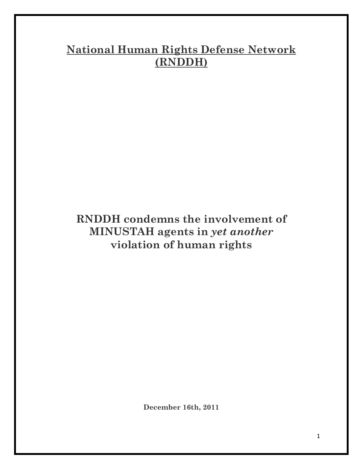# **National Human Rights Defense Network (RNDDH)**

## **RNDDH condemns the involvement of MINUSTAH agents in** *yet another* **violation of human rights**

**December 16th, 2011**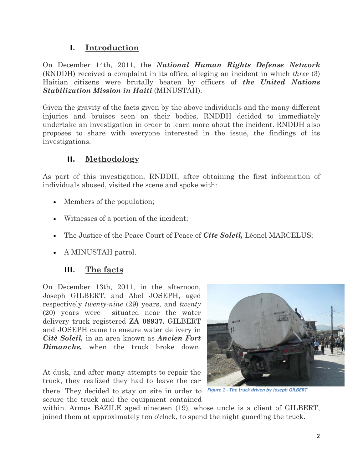#### **I. Introduction**

On December 14th, 2011, the *National Human Rights Defense Network*  (RNDDH) received a complaint in its office, alleging an incident in which *three* (3) Haitian citizens were brutally beaten by officers of *the United Nations Stabilization Mission in Haiti* (MINUSTAH).

Given the gravity of the facts given by the above individuals and the many different injuries and bruises seen on their bodies, RNDDH decided to immediately undertake an investigation in order to learn more about the incident. RNDDH also proposes to share with everyone interested in the issue, the findings of its investigations.

#### **II. Methodology**

As part of this investigation, RNDDH, after obtaining the first information of individuals abused, visited the scene and spoke with:

- Members of the population;
- Witnesses of a portion of the incident;
- The Justice of the Peace Court of Peace of *Cite Soleil,* Léonel MARCELUS;
- A MINUSTAH patrol.

#### **III. The facts**

On December 13th, 2011, in the afternoon, Joseph GILBERT, and Abel JOSEPH, aged respectively *twenty-nine* (29) years, and *twenty* (20) years were situated near the water delivery truck registered **ZA 08937.** GILBERT and JOSEPH came to ensure water delivery in *Citè Soleil,* in an area known as *Ancien Fort Dimanche,* when the truck broke down.

At dusk, and after many attempts to repair the truck, they realized they had to leave the car there. They decided to stay on site in order to secure the truck and the equipment contained



*Figure 1 - The truck driven by Joseph GILBERT*

within. Armos BAZILE aged nineteen (19), whose uncle is a client of GILBERT, joined them at approximately ten o'clock, to spend the night guarding the truck.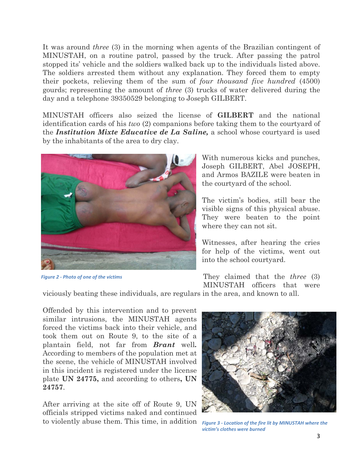It was around *three* (3) in the morning when agents of the Brazilian contingent of MINUSTAH, on a routine patrol, passed by the truck. After passing the patrol stopped its' vehicle and the soldiers walked back up to the individuals listed above. The soldiers arrested them without any explanation. They forced them to empty their pockets, relieving them of the sum of *four thousand five hundred* (4500) gourds; representing the amount of *three* (3) trucks of water delivered during the day and a telephone 39350529 belonging to Joseph GILBERT.

MINUSTAH officers also seized the license of **GILBERT** and the national identification cards of his *two* (2) companions before taking them to the courtyard of the *Institution Mixte Educative de La Saline,* a school whose courtyard is used by the inhabitants of the area to dry clay.



*Figure 2 - Photo of one of the victims*

With numerous kicks and punches, Joseph GILBERT, Abel JOSEPH, and Armos BAZILE were beaten in the courtyard of the school.

The victim's bodies, still bear the visible signs of this physical abuse. They were beaten to the point where they can not sit.

Witnesses, after hearing the cries for help of the victims, went out into the school courtyard.

They claimed that the *three* (3) MINUSTAH officers that were

viciously beating these individuals, are regulars in the area, and known to all.

Offended by this intervention and to prevent similar intrusions, the MINUSTAH agents forced the victims back into their vehicle, and took them out on Route 9, to the site of a plantain field, not far from *Brant* well*.* According to members of the population met at the scene, the vehicle of MINUSTAH involved in this incident is registered under the license plate **UN 24775,** and according to others**, UN 24757**.

After arriving at the site off of Route 9, UN officials stripped victims naked and continued to violently abuse them. This time, in addition



*Figure 3 - Location of the fire lit by MINUSTAH where the victim's clothes were burned*